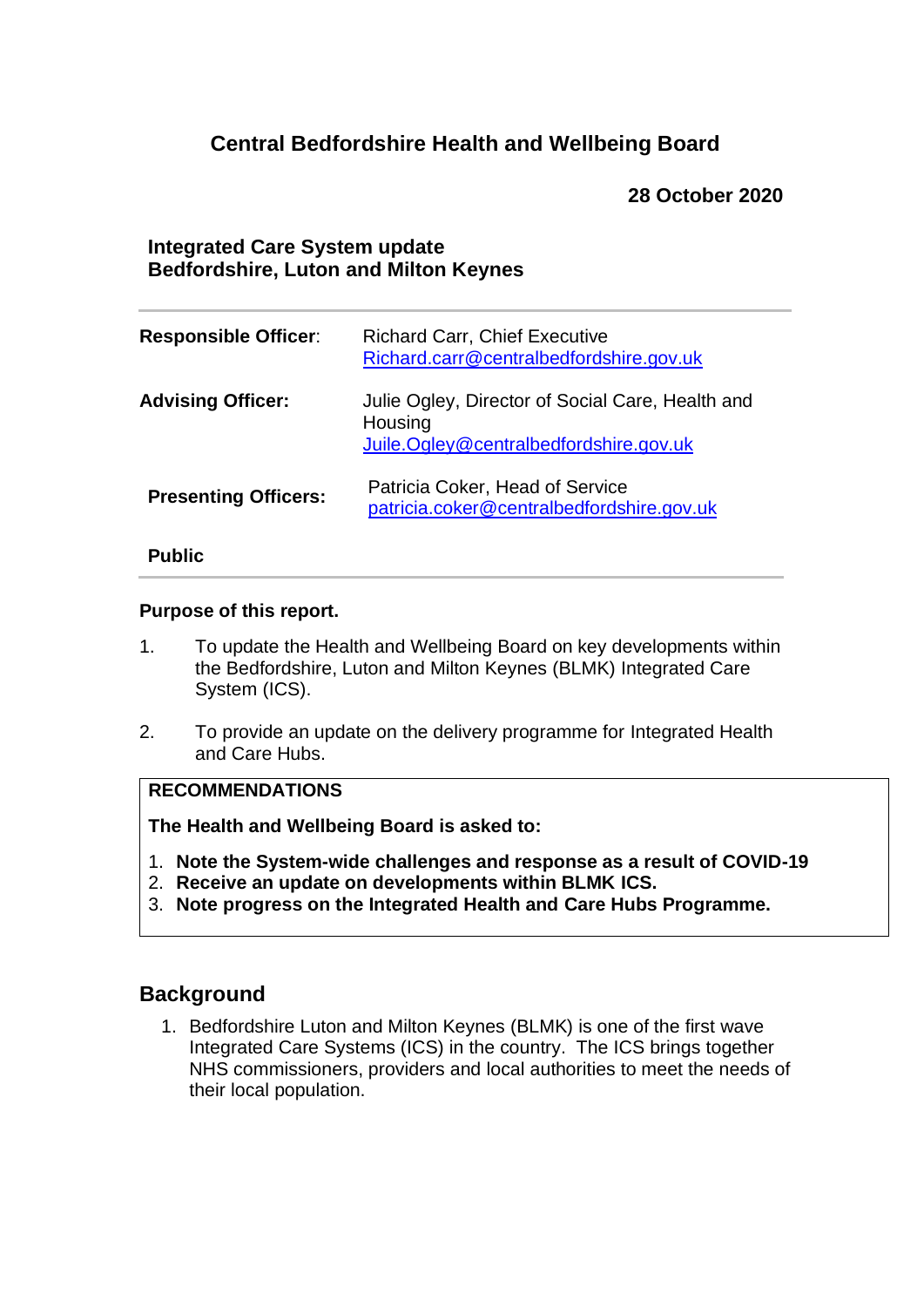# **Central Bedfordshire Health and Wellbeing Board**

### **28 October 2020**

### **Integrated Care System update Bedfordshire, Luton and Milton Keynes**

| <b>Responsible Officer:</b> | <b>Richard Carr, Chief Executive</b><br>Richard.carr@centralbedfordshire.gov.uk                       |
|-----------------------------|-------------------------------------------------------------------------------------------------------|
| <b>Advising Officer:</b>    | Julie Ogley, Director of Social Care, Health and<br>Housing<br>Juile.Ogley@centralbedfordshire.gov.uk |
| <b>Presenting Officers:</b> | Patricia Coker, Head of Service<br>patricia.coker@centralbedfordshire.gov.uk                          |

#### **Public**

#### **Purpose of this report.**

- 1. To update the Health and Wellbeing Board on key developments within the Bedfordshire, Luton and Milton Keynes (BLMK) Integrated Care System (ICS).
- 2. To provide an update on the delivery programme for Integrated Health and Care Hubs.

### **RECOMMENDATIONS**

**The Health and Wellbeing Board is asked to:**

- 1. **Note the System-wide challenges and response as a result of COVID-19**
- 2. **Receive an update on developments within BLMK ICS.**
- 3. **Note progress on the Integrated Health and Care Hubs Programme.**

### **Background**

1. Bedfordshire Luton and Milton Keynes (BLMK) is one of the first wave Integrated Care Systems (ICS) in the country. The ICS brings together NHS commissioners, providers and local authorities to meet the needs of their local population.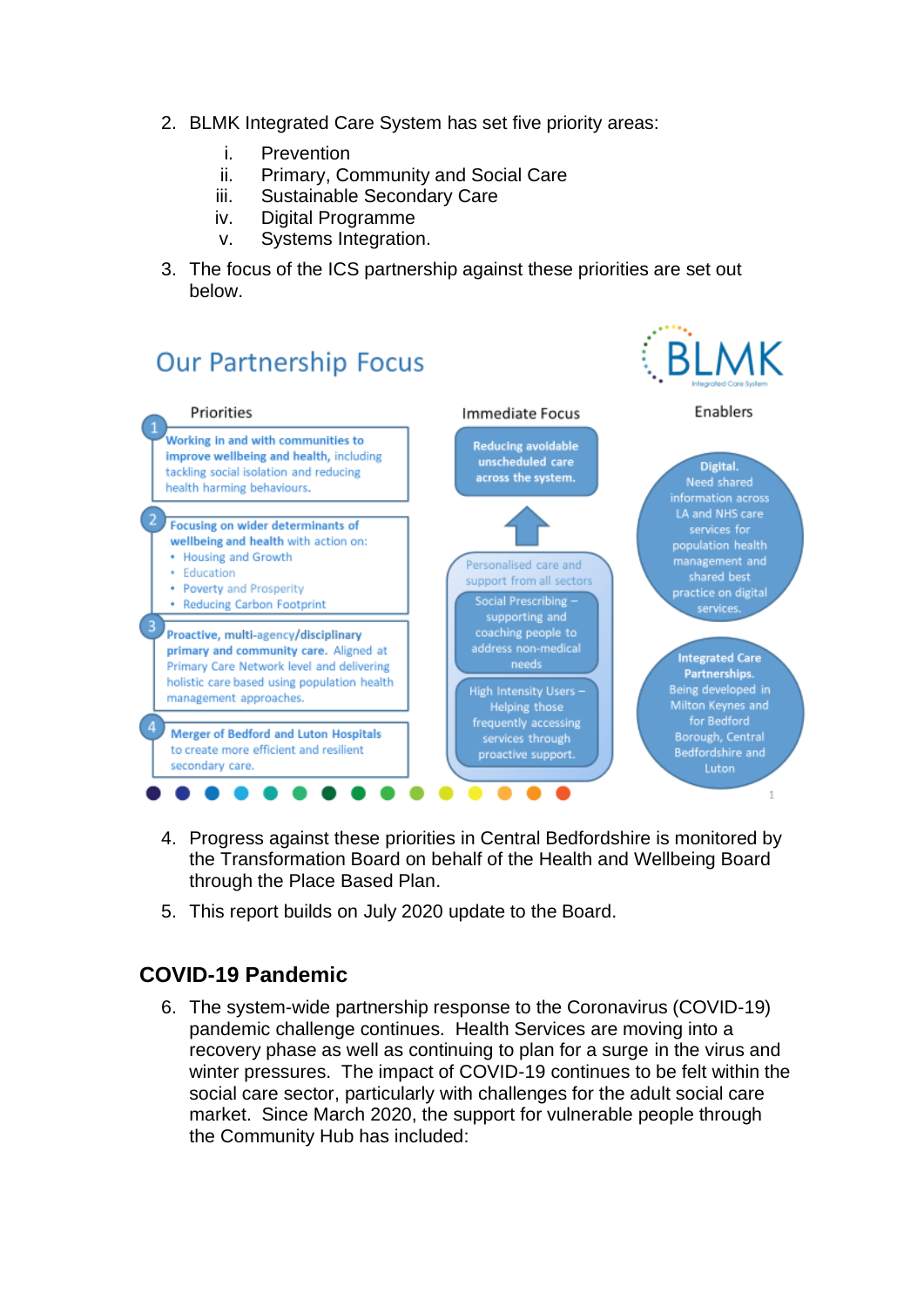- 2. BLMK Integrated Care System has set five priority areas:
	- i. Prevention
	- ii. Primary, Community and Social Care
	- iii. Sustainable Secondary Care
	- iv. Digital Programme
	- v. Systems Integration.
- 3. The focus of the ICS partnership against these priorities are set out below.



- 4. Progress against these priorities in Central Bedfordshire is monitored by the Transformation Board on behalf of the Health and Wellbeing Board through the Place Based Plan.
- 5. This report builds on July 2020 update to the Board.

# **COVID-19 Pandemic**

6. The system-wide partnership response to the Coronavirus (COVID-19) pandemic challenge continues. Health Services are moving into a recovery phase as well as continuing to plan for a surge in the virus and winter pressures. The impact of COVID-19 continues to be felt within the social care sector, particularly with challenges for the adult social care market. Since March 2020, the support for vulnerable people through the Community Hub has included: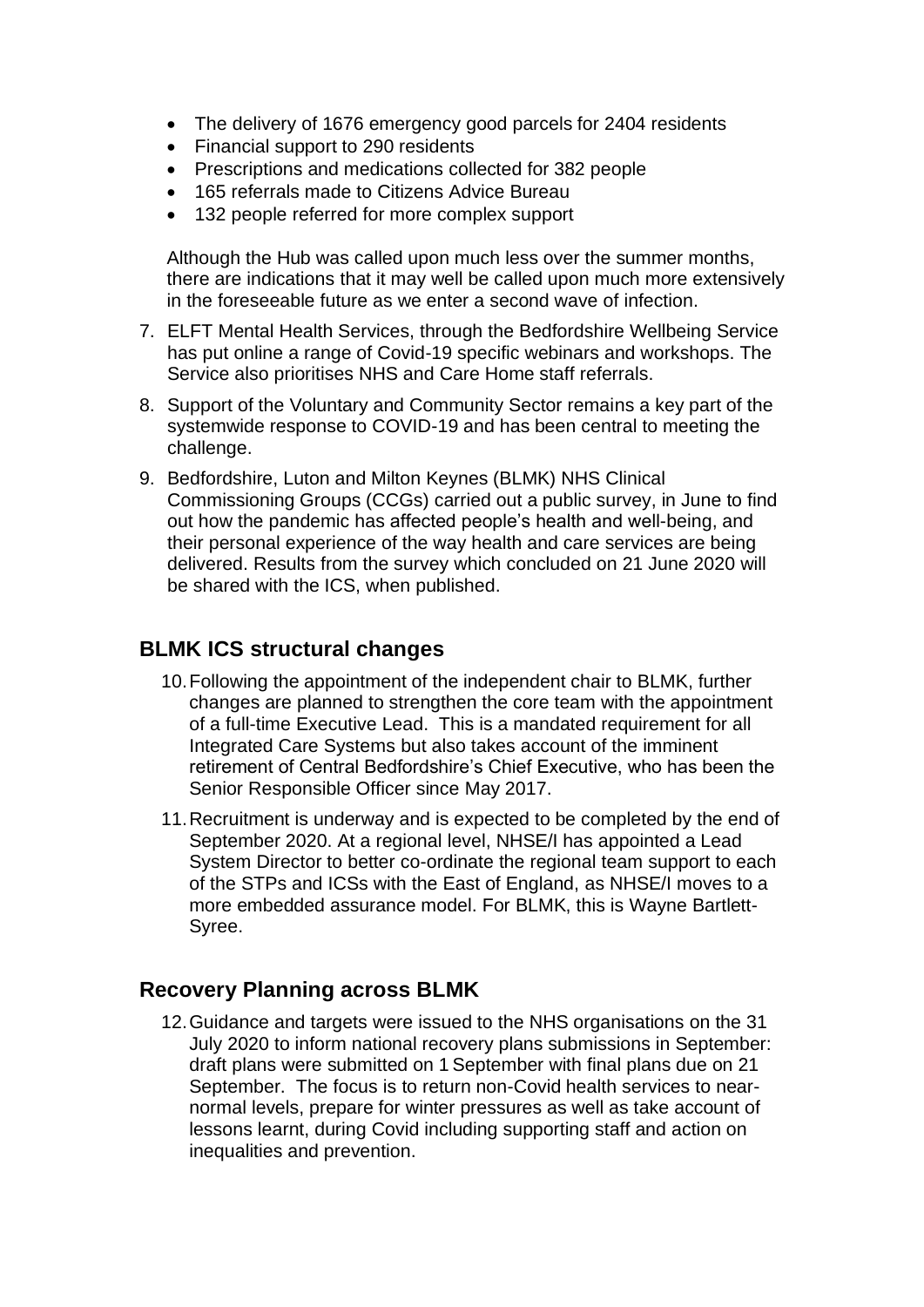- The delivery of 1676 emergency good parcels for 2404 residents
- Financial support to 290 residents
- Prescriptions and medications collected for 382 people
- 165 referrals made to Citizens Advice Bureau
- 132 people referred for more complex support

Although the Hub was called upon much less over the summer months, there are indications that it may well be called upon much more extensively in the foreseeable future as we enter a second wave of infection.

- 7. ELFT Mental Health Services, through the Bedfordshire Wellbeing Service has put online a range of Covid-19 specific webinars and workshops. The Service also prioritises NHS and Care Home staff referrals.
- 8. Support of the Voluntary and Community Sector remains a key part of the systemwide response to COVID-19 and has been central to meeting the challenge.
- 9. Bedfordshire, Luton and Milton Keynes (BLMK) NHS Clinical Commissioning Groups (CCGs) carried out a public survey, in June to find out how the pandemic has affected people's health and well-being, and their personal experience of the way health and care services are being delivered. Results from the survey which concluded on 21 June 2020 will be shared with the ICS, when published.

### **BLMK ICS structural changes**

- 10.Following the appointment of the independent chair to BLMK, further changes are planned to strengthen the core team with the appointment of a full-time Executive Lead. This is a mandated requirement for all Integrated Care Systems but also takes account of the imminent retirement of Central Bedfordshire's Chief Executive, who has been the Senior Responsible Officer since May 2017.
- 11.Recruitment is underway and is expected to be completed by the end of September 2020. At a regional level, NHSE/I has appointed a Lead System Director to better co-ordinate the regional team support to each of the STPs and ICSs with the East of England, as NHSE/I moves to a more embedded assurance model. For BLMK, this is Wayne Bartlett-Syree.

#### **Recovery Planning across BLMK**

12.Guidance and targets were issued to the NHS organisations on the 31 July 2020 to inform national recovery plans submissions in September: draft plans were submitted on 1 September with final plans due on 21 September. The focus is to return non-Covid health services to nearnormal levels, prepare for winter pressures as well as take account of lessons learnt, during Covid including supporting staff and action on inequalities and prevention.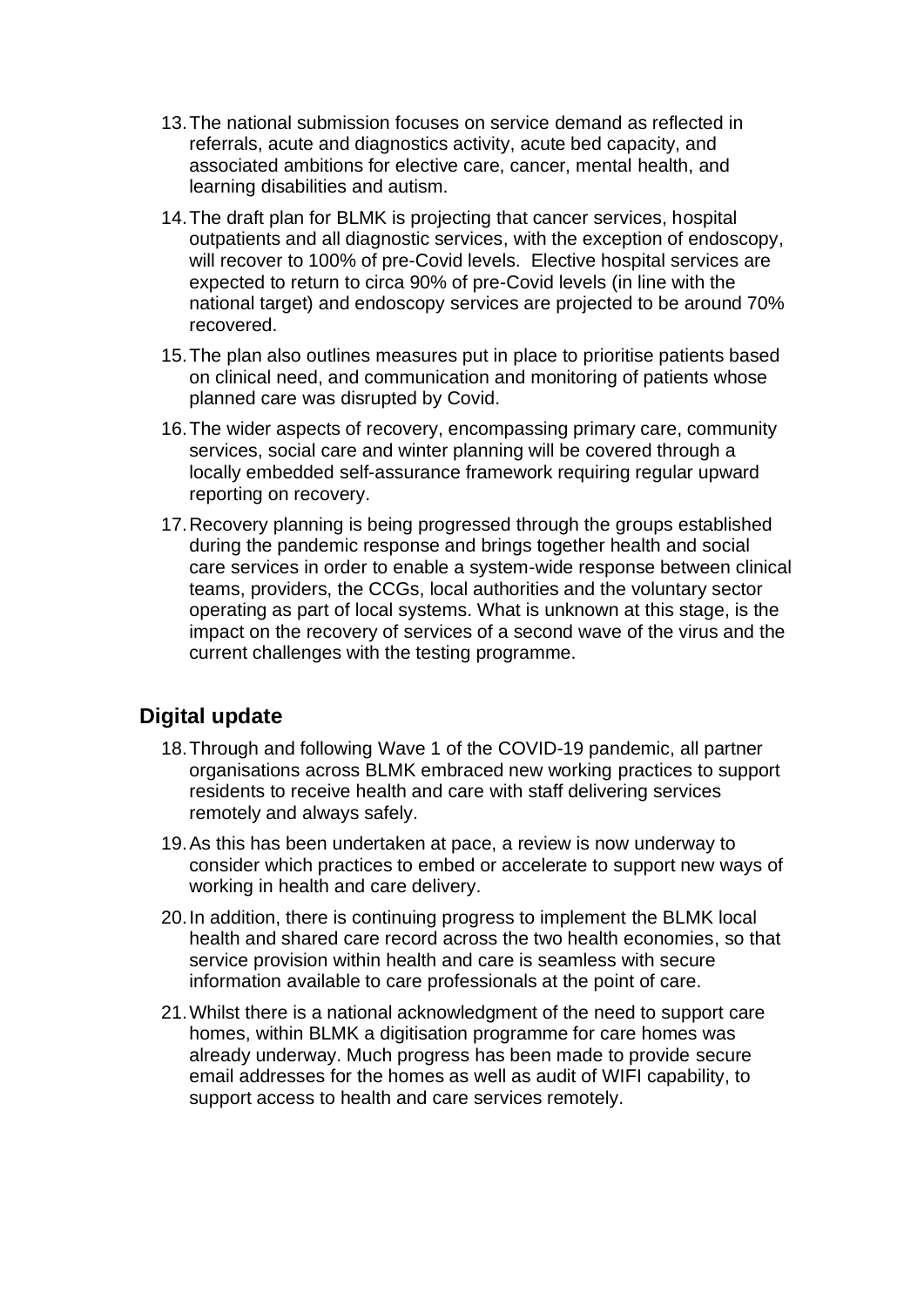- 13.The national submission focuses on service demand as reflected in referrals, acute and diagnostics activity, acute bed capacity, and associated ambitions for elective care, cancer, mental health, and learning disabilities and autism.
- 14.The draft plan for BLMK is projecting that cancer services, hospital outpatients and all diagnostic services, with the exception of endoscopy, will recover to 100% of pre-Covid levels. Elective hospital services are expected to return to circa 90% of pre-Covid levels (in line with the national target) and endoscopy services are projected to be around 70% recovered.
- 15.The plan also outlines measures put in place to prioritise patients based on clinical need, and communication and monitoring of patients whose planned care was disrupted by Covid.
- 16.The wider aspects of recovery, encompassing primary care, community services, social care and winter planning will be covered through a locally embedded self-assurance framework requiring regular upward reporting on recovery.
- 17.Recovery planning is being progressed through the groups established during the pandemic response and brings together health and social care services in order to enable a system-wide response between clinical teams, providers, the CCGs, local authorities and the voluntary sector operating as part of local systems. What is unknown at this stage, is the impact on the recovery of services of a second wave of the virus and the current challenges with the testing programme.

# **Digital update**

- 18.Through and following Wave 1 of the COVID-19 pandemic, all partner organisations across BLMK embraced new working practices to support residents to receive health and care with staff delivering services remotely and always safely.
- 19.As this has been undertaken at pace, a review is now underway to consider which practices to embed or accelerate to support new ways of working in health and care delivery.
- 20.In addition, there is continuing progress to implement the BLMK local health and shared care record across the two health economies, so that service provision within health and care is seamless with secure information available to care professionals at the point of care.
- 21.Whilst there is a national acknowledgment of the need to support care homes, within BLMK a digitisation programme for care homes was already underway. Much progress has been made to provide secure email addresses for the homes as well as audit of WIFI capability, to support access to health and care services remotely.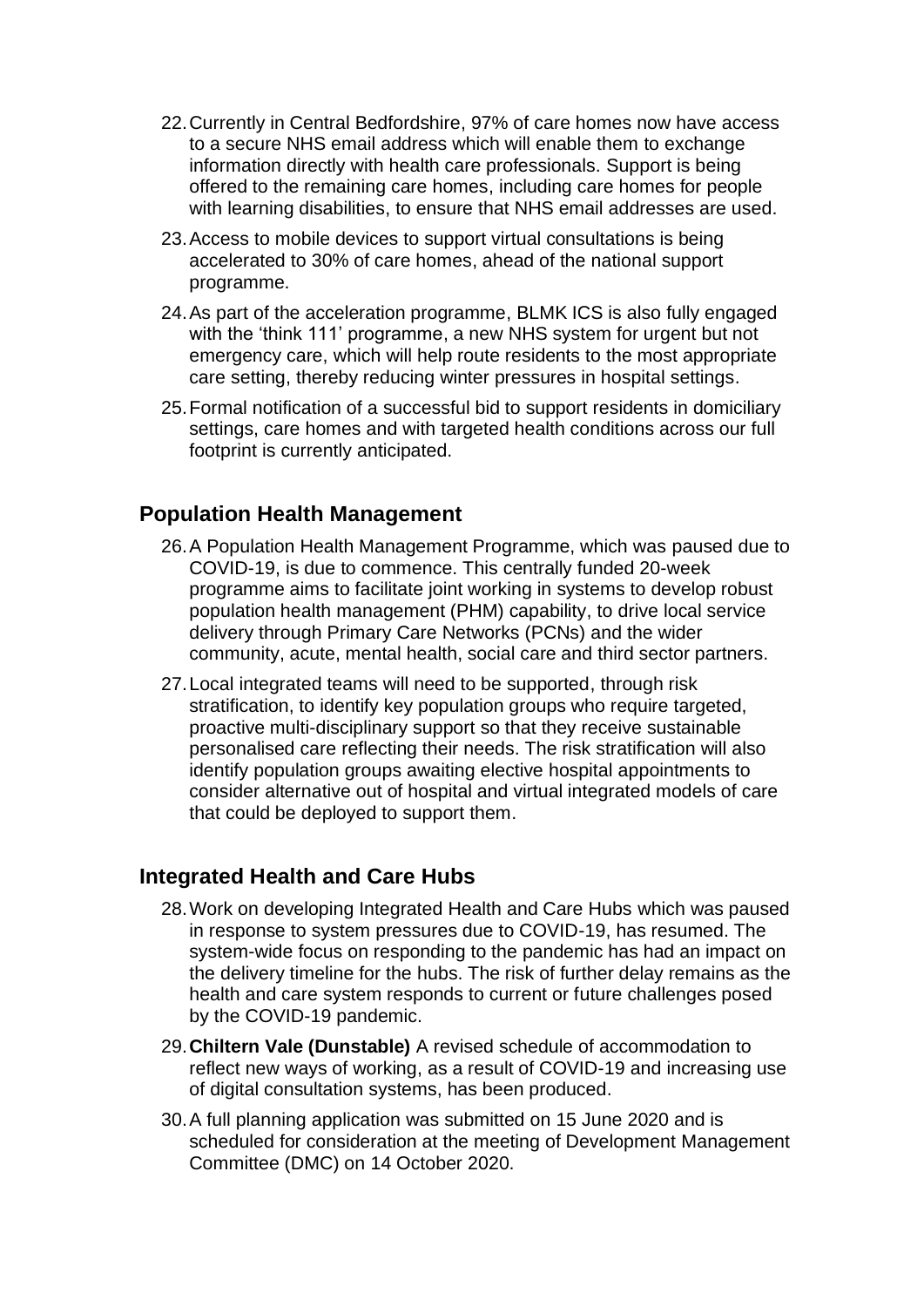- 22.Currently in Central Bedfordshire, 97% of care homes now have access to a secure NHS email address which will enable them to exchange information directly with health care professionals. Support is being offered to the remaining care homes, including care homes for people with learning disabilities, to ensure that NHS email addresses are used.
- 23.Access to mobile devices to support virtual consultations is being accelerated to 30% of care homes, ahead of the national support programme.
- 24.As part of the acceleration programme, BLMK ICS is also fully engaged with the 'think 111' programme, a new NHS system for urgent but not emergency care, which will help route residents to the most appropriate care setting, thereby reducing winter pressures in hospital settings.
- 25.Formal notification of a successful bid to support residents in domiciliary settings, care homes and with targeted health conditions across our full footprint is currently anticipated.

### **Population Health Management**

- 26.A Population Health Management Programme, which was paused due to COVID-19, is due to commence. This centrally funded 20-week programme aims to facilitate joint working in systems to develop robust population health management (PHM) capability, to drive local service delivery through Primary Care Networks (PCNs) and the wider community, acute, mental health, social care and third sector partners.
- 27.Local integrated teams will need to be supported, through risk stratification, to identify key population groups who require targeted, proactive multi-disciplinary support so that they receive sustainable personalised care reflecting their needs. The risk stratification will also identify population groups awaiting elective hospital appointments to consider alternative out of hospital and virtual integrated models of care that could be deployed to support them.

### **Integrated Health and Care Hubs**

- 28.Work on developing Integrated Health and Care Hubs which was paused in response to system pressures due to COVID-19, has resumed. The system-wide focus on responding to the pandemic has had an impact on the delivery timeline for the hubs. The risk of further delay remains as the health and care system responds to current or future challenges posed by the COVID-19 pandemic.
- 29.**Chiltern Vale (Dunstable)** A revised schedule of accommodation to reflect new ways of working, as a result of COVID-19 and increasing use of digital consultation systems, has been produced.
- 30.A full planning application was submitted on 15 June 2020 and is scheduled for consideration at the meeting of Development Management Committee (DMC) on 14 October 2020.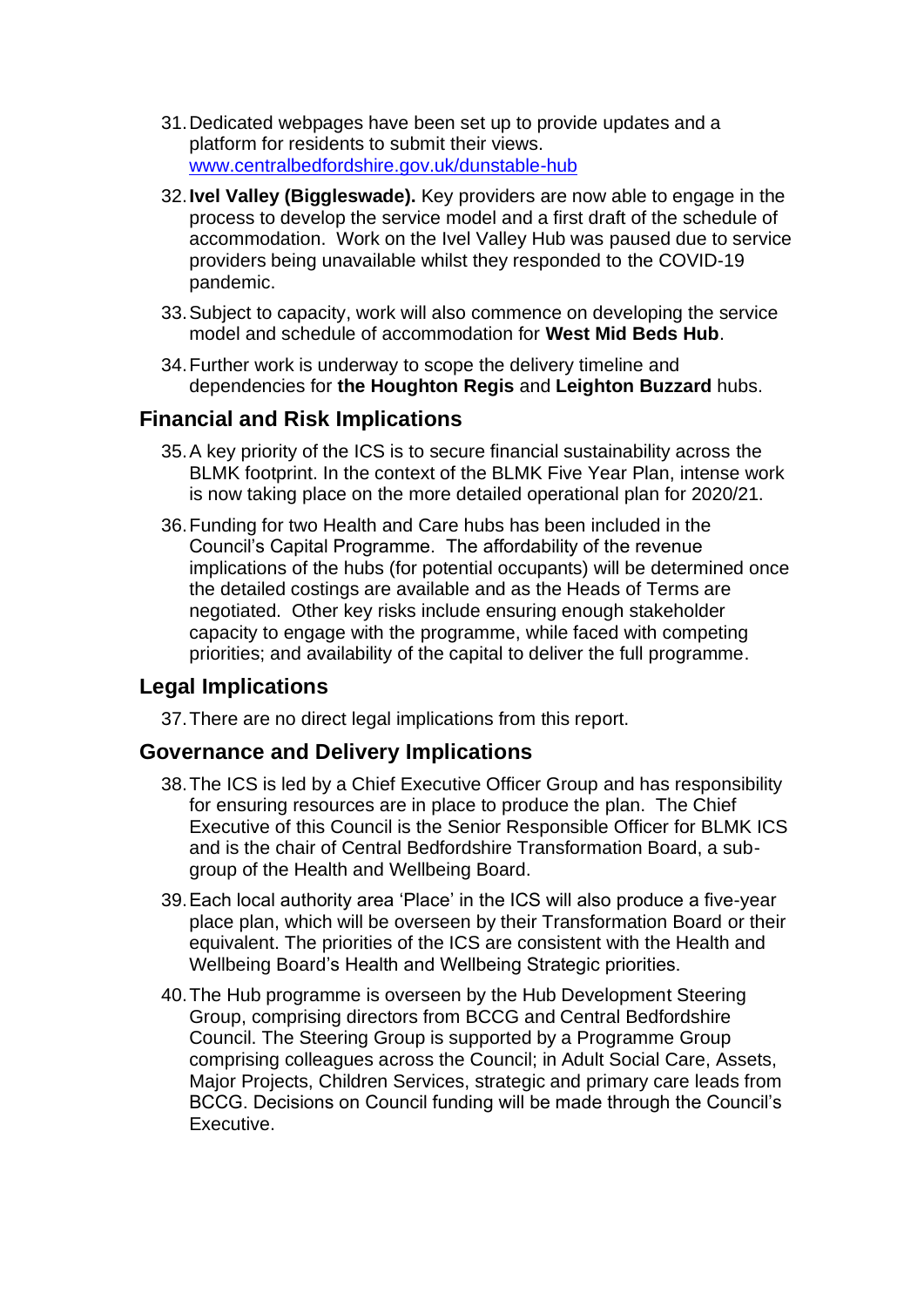- 31.Dedicated webpages have been set up to provide updates and a platform for residents to submit their views. [www.centralbedfordshire.gov.uk/dunstable-hub](http://www.centralbedfordshire.gov.uk/dunstable-hub)
- 32.**Ivel Valley (Biggleswade).** Key providers are now able to engage in the process to develop the service model and a first draft of the schedule of accommodation. Work on the Ivel Valley Hub was paused due to service providers being unavailable whilst they responded to the COVID-19 pandemic.
- 33.Subject to capacity, work will also commence on developing the service model and schedule of accommodation for **West Mid Beds Hub**.
- 34.Further work is underway to scope the delivery timeline and dependencies for **the Houghton Regis** and **Leighton Buzzard** hubs.

### **Financial and Risk Implications**

- 35.A key priority of the ICS is to secure financial sustainability across the BLMK footprint. In the context of the BLMK Five Year Plan, intense work is now taking place on the more detailed operational plan for 2020/21.
- 36.Funding for two Health and Care hubs has been included in the Council's Capital Programme. The affordability of the revenue implications of the hubs (for potential occupants) will be determined once the detailed costings are available and as the Heads of Terms are negotiated. Other key risks include ensuring enough stakeholder capacity to engage with the programme, while faced with competing priorities; and availability of the capital to deliver the full programme.

# **Legal Implications**

37.There are no direct legal implications from this report.

### **Governance and Delivery Implications**

- 38.The ICS is led by a Chief Executive Officer Group and has responsibility for ensuring resources are in place to produce the plan. The Chief Executive of this Council is the Senior Responsible Officer for BLMK ICS and is the chair of Central Bedfordshire Transformation Board, a subgroup of the Health and Wellbeing Board.
- 39.Each local authority area 'Place' in the ICS will also produce a five-year place plan, which will be overseen by their Transformation Board or their equivalent. The priorities of the ICS are consistent with the Health and Wellbeing Board's Health and Wellbeing Strategic priorities.
- 40.The Hub programme is overseen by the Hub Development Steering Group, comprising directors from BCCG and Central Bedfordshire Council. The Steering Group is supported by a Programme Group comprising colleagues across the Council; in Adult Social Care, Assets, Major Projects, Children Services, strategic and primary care leads from BCCG. Decisions on Council funding will be made through the Council's Executive.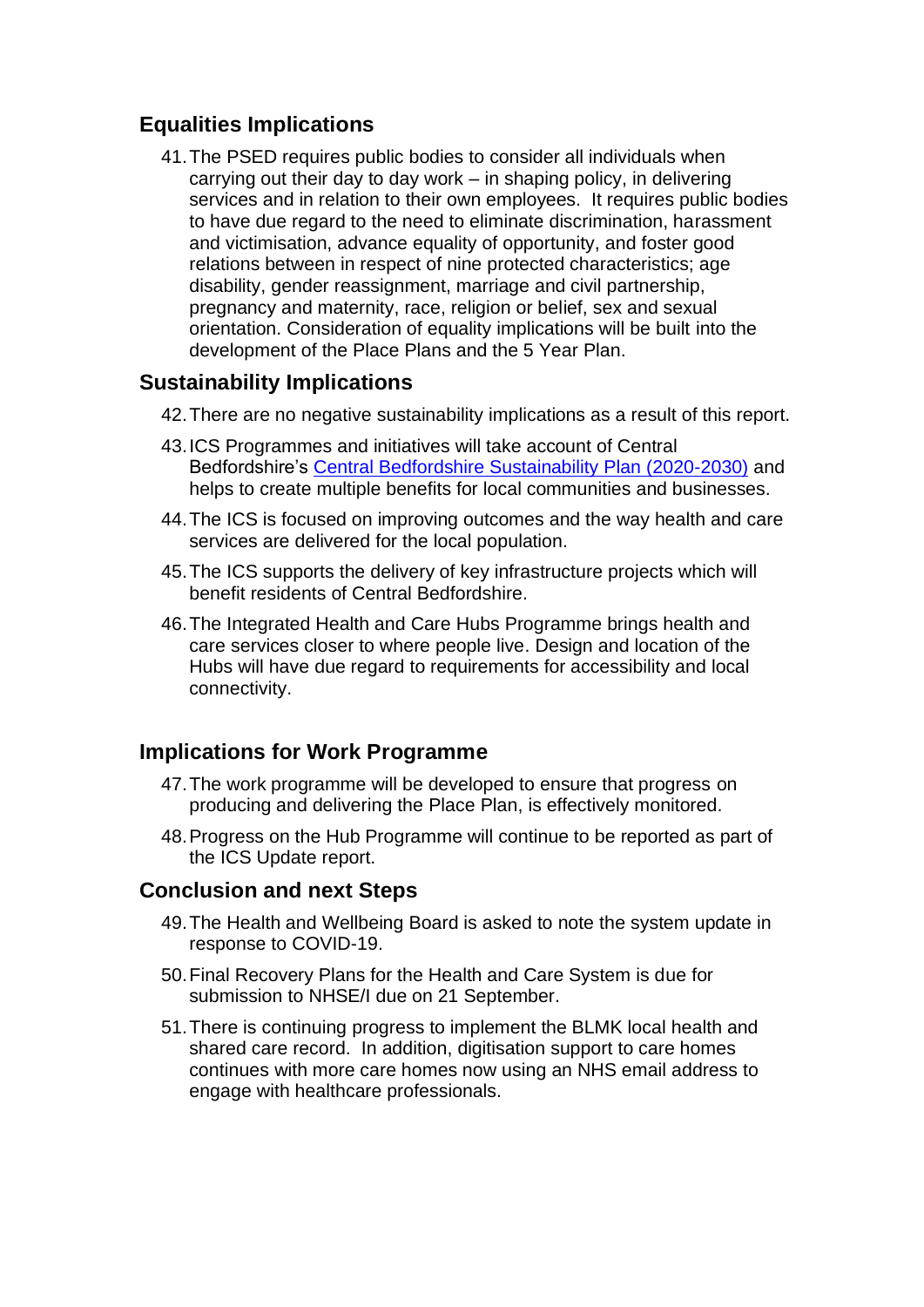# **Equalities Implications**

41.The PSED requires public bodies to consider all individuals when carrying out their day to day work – in shaping policy, in delivering services and in relation to their own employees. It requires public bodies to have due regard to the need to eliminate discrimination, harassment and victimisation, advance equality of opportunity, and foster good relations between in respect of nine protected characteristics; age disability, gender reassignment, marriage and civil partnership, pregnancy and maternity, race, religion or belief, sex and sexual orientation. Consideration of equality implications will be built into the development of the Place Plans and the 5 Year Plan.

# **Sustainability Implications**

- 42.There are no negative sustainability implications as a result of this report.
- 43.ICS Programmes and initiatives will take account of Central Bedfordshire's [Central Bedfordshire Sustainability Plan \(2020-2030\)](https://centralbedfordshire.app.box.com/s/yf5w3nsu5p4bnre6zodjxvb8bpaami82/folder/122062788089) and helps to create multiple benefits for local communities and businesses.
- 44.The ICS is focused on improving outcomes and the way health and care services are delivered for the local population.
- 45.The ICS supports the delivery of key infrastructure projects which will benefit residents of Central Bedfordshire.
- 46.The Integrated Health and Care Hubs Programme brings health and care services closer to where people live. Design and location of the Hubs will have due regard to requirements for accessibility and local connectivity.

# **Implications for Work Programme**

- 47.The work programme will be developed to ensure that progress on producing and delivering the Place Plan, is effectively monitored.
- 48.Progress on the Hub Programme will continue to be reported as part of the ICS Update report.

### **Conclusion and next Steps**

- 49.The Health and Wellbeing Board is asked to note the system update in response to COVID-19.
- 50.Final Recovery Plans for the Health and Care System is due for submission to NHSE/I due on 21 September.
- 51.There is continuing progress to implement the BLMK local health and shared care record. In addition, digitisation support to care homes continues with more care homes now using an NHS email address to engage with healthcare professionals.